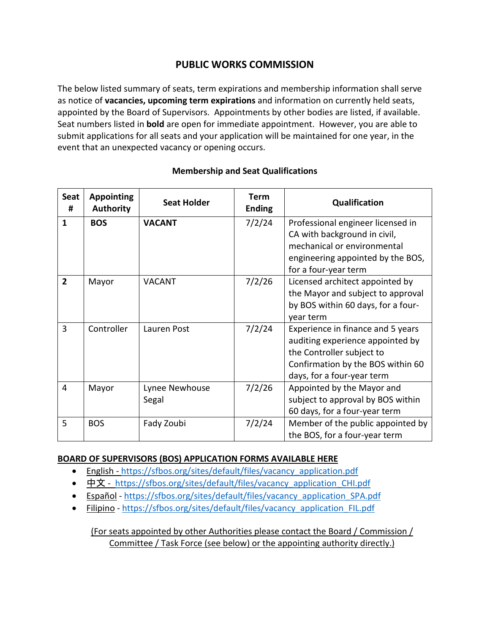## **PUBLIC WORKS COMMISSION**

The below listed summary of seats, term expirations and membership information shall serve as notice of **vacancies, upcoming term expirations** and information on currently held seats, appointed by the Board of Supervisors. Appointments by other bodies are listed, if available. Seat numbers listed in **bold** are open for immediate appointment. However, you are able to submit applications for all seats and your application will be maintained for one year, in the event that an unexpected vacancy or opening occurs.

| Seat<br>#      | <b>Appointing</b><br><b>Authority</b> | <b>Seat Holder</b>      | <b>Term</b><br><b>Ending</b> | Qualification                                                                                                                                                         |
|----------------|---------------------------------------|-------------------------|------------------------------|-----------------------------------------------------------------------------------------------------------------------------------------------------------------------|
| $\mathbf{1}$   | <b>BOS</b>                            | <b>VACANT</b>           | 7/2/24                       | Professional engineer licensed in<br>CA with background in civil,<br>mechanical or environmental<br>engineering appointed by the BOS,<br>for a four-year term         |
| $\overline{2}$ | Mayor                                 | <b>VACANT</b>           | 7/2/26                       | Licensed architect appointed by<br>the Mayor and subject to approval<br>by BOS within 60 days, for a four-<br>year term                                               |
| 3              | Controller                            | Lauren Post             | 7/2/24                       | Experience in finance and 5 years<br>auditing experience appointed by<br>the Controller subject to<br>Confirmation by the BOS within 60<br>days, for a four-year term |
| 4              | Mayor                                 | Lynee Newhouse<br>Segal | 7/2/26                       | Appointed by the Mayor and<br>subject to approval by BOS within<br>60 days, for a four-year term                                                                      |
| 5              | <b>BOS</b>                            | Fady Zoubi              | 7/2/24                       | Member of the public appointed by<br>the BOS, for a four-year term                                                                                                    |

## **Membership and Seat Qualifications**

## **BOARD OF SUPERVISORS (BOS) APPLICATION FORMS AVAILABLE HERE**

- English [https://sfbos.org/sites/default/files/vacancy\\_application.pdf](https://sfbos.org/sites/default/files/vacancy_application.pdf)
- [中文](https://sfbos.org/sites/default/files/vacancy_application_CHI.pdf) [https://sfbos.org/sites/default/files/vacancy\\_application\\_CHI.pdf](https://sfbos.org/sites/default/files/vacancy_application_CHI.pdf)
- [Español](https://sfbos.org/sites/default/files/vacancy_application_SPA.pdf) [https://sfbos.org/sites/default/files/vacancy\\_application\\_SPA.pdf](https://sfbos.org/sites/default/files/vacancy_application_SPA.pdf)
- [Filipino](https://sfbos.org/sites/default/files/vacancy_application_FIL.pdf) [https://sfbos.org/sites/default/files/vacancy\\_application\\_FIL.pdf](https://sfbos.org/sites/default/files/vacancy_application_FIL.pdf)

(For seats appointed by other Authorities please contact the Board / Commission / Committee / Task Force (see below) or the appointing authority directly.)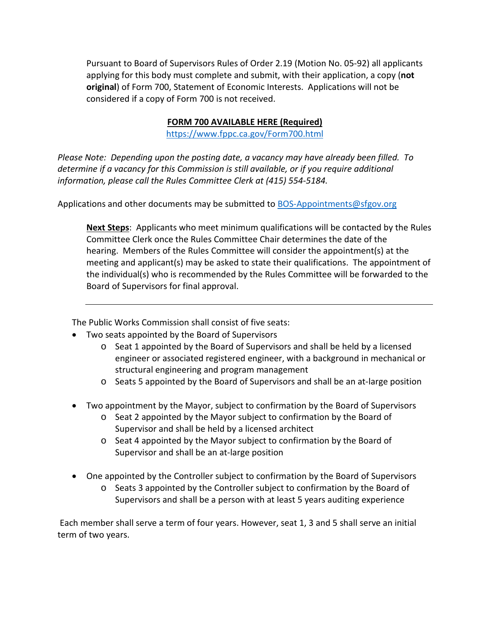Pursuant to Board of Supervisors Rules of Order 2.19 (Motion No. 05-92) all applicants applying for this body must complete and submit, with their application, a copy (**not original**) of Form 700, Statement of Economic Interests. Applications will not be considered if a copy of Form 700 is not received.

## **FORM 700 AVAILABLE HERE (Required)**

<https://www.fppc.ca.gov/Form700.html>

*Please Note: Depending upon the posting date, a vacancy may have already been filled. To determine if a vacancy for this Commission is still available, or if you require additional information, please call the Rules Committee Clerk at (415) 554-5184.*

Applications and other documents may be submitted to [BOS-Appointments@sfgov.org](mailto:BOS-Appointments@sfgov.org)

**Next Steps**: Applicants who meet minimum qualifications will be contacted by the Rules Committee Clerk once the Rules Committee Chair determines the date of the hearing. Members of the Rules Committee will consider the appointment(s) at the meeting and applicant(s) may be asked to state their qualifications. The appointment of the individual(s) who is recommended by the Rules Committee will be forwarded to the Board of Supervisors for final approval.

The Public Works Commission shall consist of five seats:

- Two seats appointed by the Board of Supervisors
	- o Seat 1 appointed by the Board of Supervisors and shall be held by a licensed engineer or associated registered engineer, with a background in mechanical or structural engineering and program management
	- o Seats 5 appointed by the Board of Supervisors and shall be an at-large position
- Two appointment by the Mayor, subject to confirmation by the Board of Supervisors
	- o Seat 2 appointed by the Mayor subject to confirmation by the Board of Supervisor and shall be held by a licensed architect
	- $\circ$  Seat 4 appointed by the Mayor subject to confirmation by the Board of Supervisor and shall be an at-large position
- One appointed by the Controller subject to confirmation by the Board of Supervisors
	- o Seats 3 appointed by the Controller subject to confirmation by the Board of Supervisors and shall be a person with at least 5 years auditing experience

Each member shall serve a term of four years. However, seat 1, 3 and 5 shall serve an initial term of two years.